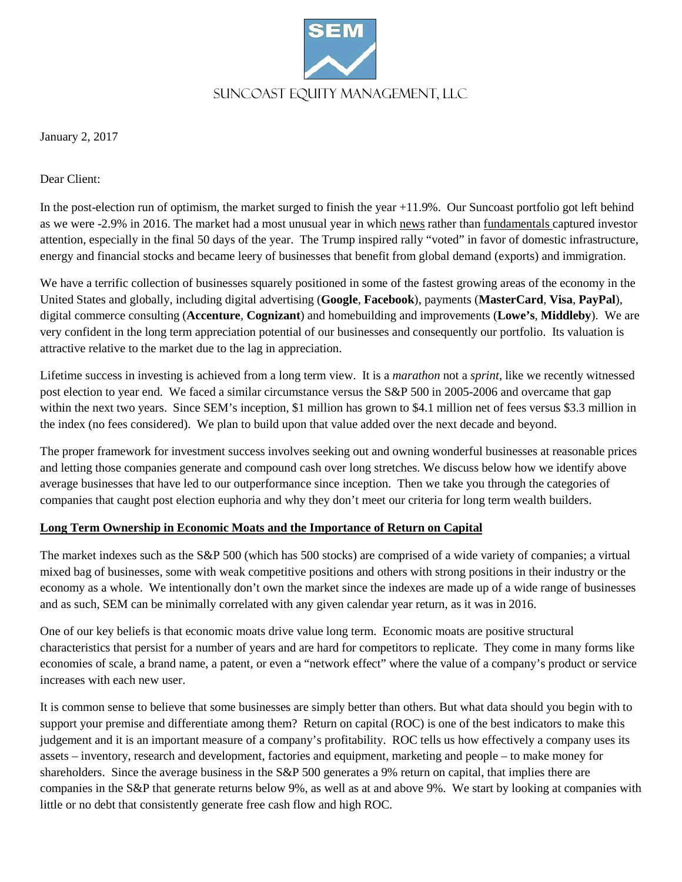

January 2, 2017

Dear Client:

In the post-election run of optimism, the market surged to finish the year +11.9%. Our Suncoast portfolio got left behind as we were -2.9% in 2016. The market had a most unusual year in which news rather than fundamentals captured investor attention, especially in the final 50 days of the year.The Trump inspired rally "voted" in favor of domestic infrastructure, energy and financial stocks and became leery of businesses that benefit from global demand (exports) and immigration.

We have a terrific collection of businesses squarely positioned in some of the fastest growing areas of the economy in the United States and globally, including digital advertising (**Google**, **Facebook**), payments (**MasterCard**, **Visa**, **PayPal**), digital commerce consulting (**Accenture**, **Cognizant**) and homebuilding and improvements (**Lowe's**, **Middleby**). We are very confident in the long term appreciation potential of our businesses and consequently our portfolio. Its valuation is attractive relative to the market due to the lag in appreciation.

Lifetime success in investing is achieved from a long term view. It is a *marathon* not a *sprint*, like we recently witnessed post election to year end. We faced a similar circumstance versus the S&P 500 in 2005-2006 and overcame that gap within the next two years. Since SEM's inception, \$1 million has grown to \$4.1 million net of fees versus \$3.3 million in the index (no fees considered). We plan to build upon that value added over the next decade and beyond.

The proper framework for investment success involves seeking out and owning wonderful businesses at reasonable prices and letting those companies generate and compound cash over long stretches. We discuss below how we identify above average businesses that have led to our outperformance since inception. Then we take you through the categories of companies that caught post election euphoria and why they don't meet our criteria for long term wealth builders.

# **Long Term Ownership in Economic Moats and the Importance of Return on Capital**

The market indexes such as the S&P 500 (which has 500 stocks) are comprised of a wide variety of companies; a virtual mixed bag of businesses, some with weak competitive positions and others with strong positions in their industry or the economy as a whole. We intentionally don't own the market since the indexes are made up of a wide range of businesses and as such, SEM can be minimally correlated with any given calendar year return, as it was in 2016.

One of our key beliefs is that economic moats drive value long term. Economic moats are positive structural characteristics that persist for a number of years and are hard for competitors to replicate. They come in many forms like economies of scale, a brand name, a patent, or even a "network effect" where the value of a company's product or service increases with each new user.

It is common sense to believe that some businesses are simply better than others. But what data should you begin with to support your premise and differentiate among them? Return on capital (ROC) is one of the best indicators to make this judgement and it is an important measure of a company's profitability. ROC tells us how effectively a company uses its assets – inventory, research and development, factories and equipment, marketing and people – to make money for shareholders. Since the average business in the S&P 500 generates a 9% return on capital, that implies there are companies in the S&P that generate returns below 9%, as well as at and above 9%. We start by looking at companies with little or no debt that consistently generate free cash flow and high ROC.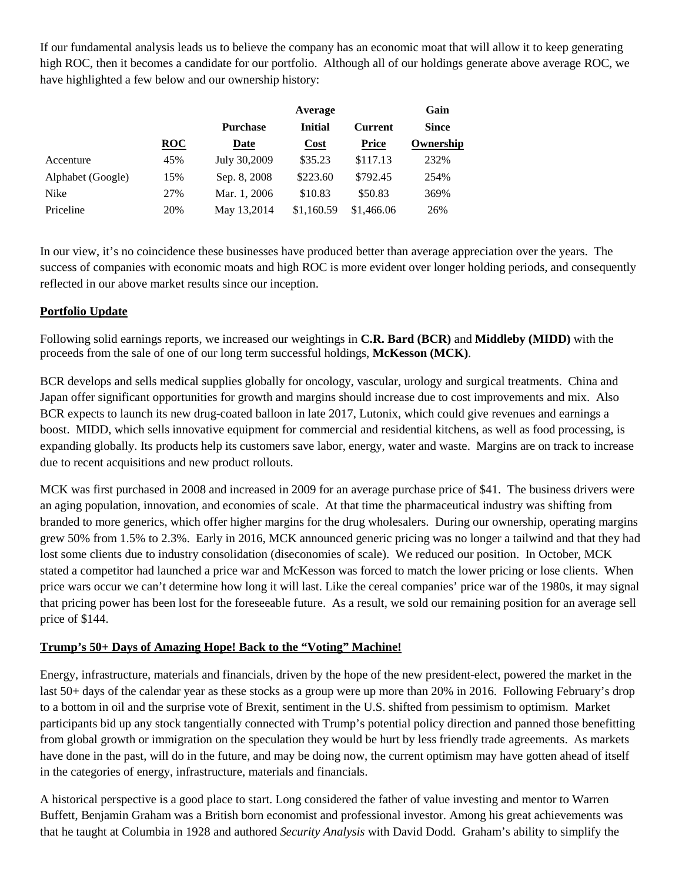If our fundamental analysis leads us to believe the company has an economic moat that will allow it to keep generating high ROC, then it becomes a candidate for our portfolio. Although all of our holdings generate above average ROC, we have highlighted a few below and our ownership history:

|                   |            |                 | Gain           |                |              |
|-------------------|------------|-----------------|----------------|----------------|--------------|
|                   |            | <b>Purchase</b> | <b>Initial</b> | <b>Current</b> | <b>Since</b> |
|                   | <b>ROC</b> | Date            | <b>Cost</b>    | <b>Price</b>   | Ownership    |
| Accenture         | 45%        | July 30,2009    | \$35.23        | \$117.13       | 232%         |
| Alphabet (Google) | 15%        | Sep. 8, 2008    | \$223.60       | \$792.45       | 254%         |
| Nike              | 27%        | Mar. 1, 2006    | \$10.83        | \$50.83        | 369%         |
| Priceline         | 20%        | May 13,2014     | \$1,160.59     | \$1,466.06     | 26%          |

In our view, it's no coincidence these businesses have produced better than average appreciation over the years. The success of companies with economic moats and high ROC is more evident over longer holding periods, and consequently reflected in our above market results since our inception.

# **Portfolio Update**

Following solid earnings reports, we increased our weightings in **C.R. Bard (BCR)** and **Middleby (MIDD)** with the proceeds from the sale of one of our long term successful holdings, **McKesson (MCK)**.

BCR develops and sells medical supplies globally for oncology, vascular, urology and surgical treatments. China and Japan offer significant opportunities for growth and margins should increase due to cost improvements and mix. Also BCR expects to launch its new drug-coated balloon in late 2017, Lutonix, which could give revenues and earnings a boost. MIDD, which sells innovative equipment for commercial and residential kitchens, as well as food processing, is expanding globally. Its products help its customers save labor, energy, water and waste. Margins are on track to increase due to recent acquisitions and new product rollouts.

MCK was first purchased in 2008 and increased in 2009 for an average purchase price of \$41. The business drivers were an aging population, innovation, and economies of scale. At that time the pharmaceutical industry was shifting from branded to more generics, which offer higher margins for the drug wholesalers. During our ownership, operating margins grew 50% from 1.5% to 2.3%. Early in 2016, MCK announced generic pricing was no longer a tailwind and that they had lost some clients due to industry consolidation (diseconomies of scale). We reduced our position. In October, MCK stated a competitor had launched a price war and McKesson was forced to match the lower pricing or lose clients. When price wars occur we can't determine how long it will last. Like the cereal companies' price war of the 1980s, it may signal that pricing power has been lost for the foreseeable future. As a result, we sold our remaining position for an average sell price of \$144.

# **Trump's 50+ Days of Amazing Hope! Back to the "Voting" Machine!**

Energy, infrastructure, materials and financials, driven by the hope of the new president-elect, powered the market in the last 50+ days of the calendar year as these stocks as a group were up more than 20% in 2016. Following February's drop to a bottom in oil and the surprise vote of Brexit, sentiment in the U.S. shifted from pessimism to optimism. Market participants bid up any stock tangentially connected with Trump's potential policy direction and panned those benefitting from global growth or immigration on the speculation they would be hurt by less friendly trade agreements. As markets have done in the past, will do in the future, and may be doing now, the current optimism may have gotten ahead of itself in the categories of energy, infrastructure, materials and financials.

A historical perspective is a good place to start. Long considered the father of value investing and mentor to Warren Buffett, Benjamin Graham was a British born economist and professional investor. Among his great achievements was that he taught at Columbia in 1928 and authored *Security Analysis* with David Dodd. Graham's ability to simplify the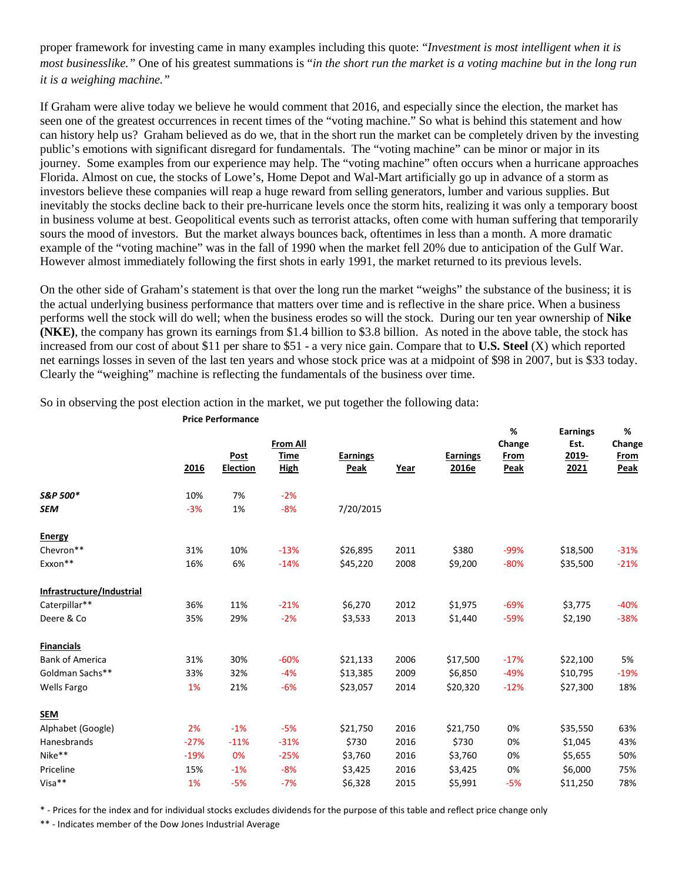proper framework for investing came in many examples including this quote: "*Investment is most intelligent when it is most businesslike."* One of his greatest summations is "*in the short run the market is a voting machine but in the long run it is a weighing machine."*

If Graham were alive today we believe he would comment that 2016, and especially since the election, the market has seen one of the greatest occurrences in recent times of the "voting machine." So what is behind this statement and how can history help us? Graham believed as do we, that in the short run the market can be completely driven by the investing public's emotions with significant disregard for fundamentals. The "voting machine" can be minor or major in its journey. Some examples from our experience may help. The "voting machine" often occurs when a hurricane approaches Florida. Almost on cue, the stocks of Lowe's, Home Depot and Wal-Mart artificially go up in advance of a storm as investors believe these companies will reap a huge reward from selling generators, lumber and various supplies. But inevitably the stocks decline back to their pre-hurricane levels once the storm hits, realizing it was only a temporary boost in business volume at best. Geopolitical events such as terrorist attacks, often come with human suffering that temporarily sours the mood of investors. But the market always bounces back, oftentimes in less than a month. A more dramatic example of the "voting machine" was in the fall of 1990 when the market fell 20% due to anticipation of the Gulf War. However almost immediately following the first shots in early 1991, the market returned to its previous levels.

On the other side of Graham's statement is that over the long run the market "weighs" the substance of the business; it is the actual underlying business performance that matters over time and is reflective in the share price. When a business performs well the stock will do well; when the business erodes so will the stock. During our ten year ownership of **Nike (NKE)**, the company has grown its earnings from \$1.4 billion to \$3.8 billion. As noted in the above table, the stock has increased from our cost of about \$11 per share to \$51 - a very nice gain. Compare that to **U.S. Steel** (X) which reported net earnings losses in seven of the last ten years and whose stock price was at a midpoint of \$98 in 2007, but is \$33 today. Clearly the "weighing" machine is reflecting the fundamentals of the business over time.

**From All % Change Earnings Est. % Change 2016 Post Election Time High Earnings Peak Year Earnings 2016e From Peak 2019- 2021 From Peak** *S&P 500\** 10% 7% -2% **SEM** -3% 1% -8% 7/20/2015 **Energy** Chevron\*\* 31% 10% -13% \$26,895 2011 \$380 -99% \$18,500 -31% Exxon\*\* 16% 6% -14% \$45,220 2008 \$9,200 -80% \$35,500 -21% **Infrastructure/Industrial** Caterpillar\*\* 36% 11% -21% \$6,270 2012 \$1,975 -69% \$3,775 -40% Deere & Co 35% 29% -2% \$3,533 2013 \$1,440 -59% \$2,190 -38% **Financials** Bank of America 31% 30% -60% \$21,133 2006 \$17,500 -17% \$22,100 5% Goldman Sachs\*\* 33% 32% -4% \$13,385 2009 \$6,850 -49% \$10,795 -19% Wells Fargo 1% 21% -6% \$23,057 2014 \$20,320 -12% \$27,300 18% **SEM** Alphabet (Google) 2% -1% -5% \$21,750 2016 \$21,750 0% \$35,550 63% Hanesbrands -27% -11% -31% \$730 2016 \$730 0% \$1,045 43% Nike\*\* -19% 0% -25% \$3,760 2016 \$3,760 0% \$5,655 50% Priceline 15% -1% -8% \$3,425 2016 \$3,425 0% \$6,000 75% Visa\*\* 1% -5% -7% \$6,328 2015 \$5,991 -5% \$11,250 78%

So in observing the post election action in the market, we put together the following data:

**Price Performance**

\* - Prices for the index and for individual stocks excludes dividends for the purpose of this table and reflect price change only

\*\* - Indicates member of the Dow Jones Industrial Average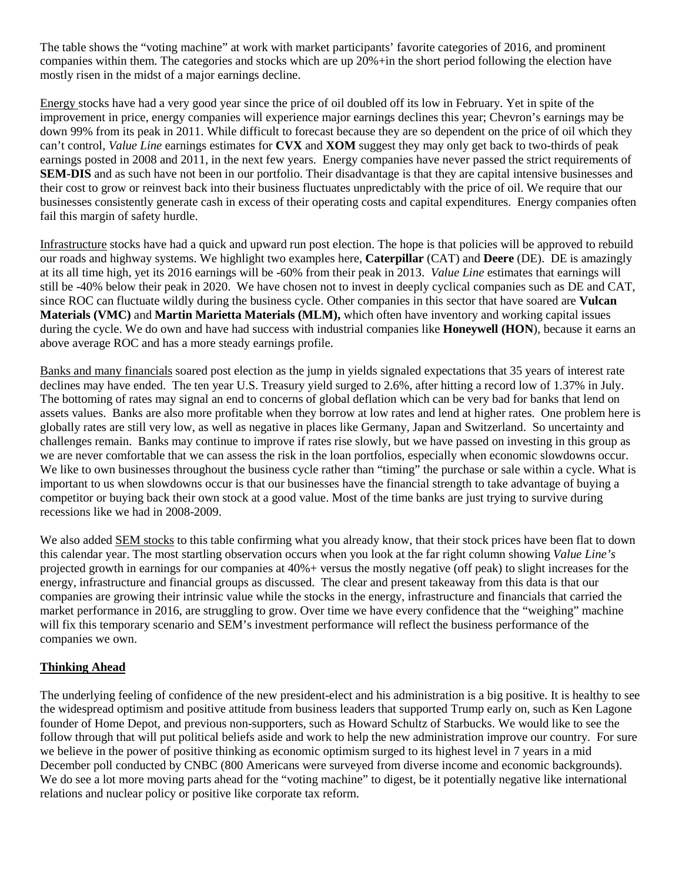The table shows the "voting machine" at work with market participants' favorite categories of 2016, and prominent companies within them. The categories and stocks which are up 20%+in the short period following the election have mostly risen in the midst of a major earnings decline.

Energy stocks have had a very good year since the price of oil doubled off its low in February. Yet in spite of the improvement in price, energy companies will experience major earnings declines this year; Chevron's earnings may be down 99% from its peak in 2011. While difficult to forecast because they are so dependent on the price of oil which they can't control, *Value Line* earnings estimates for **CVX** and **XOM** suggest they may only get back to two-thirds of peak earnings posted in 2008 and 2011, in the next few years. Energy companies have never passed the strict requirements of **SEM-DIS** and as such have not been in our portfolio. Their disadvantage is that they are capital intensive businesses and their cost to grow or reinvest back into their business fluctuates unpredictably with the price of oil. We require that our businesses consistently generate cash in excess of their operating costs and capital expenditures. Energy companies often fail this margin of safety hurdle.

Infrastructure stocks have had a quick and upward run post election. The hope is that policies will be approved to rebuild our roads and highway systems. We highlight two examples here, **Caterpillar** (CAT) and **Deere** (DE). DE is amazingly at its all time high, yet its 2016 earnings will be -60% from their peak in 2013. *Value Line* estimates that earnings will still be -40% below their peak in 2020. We have chosen not to invest in deeply cyclical companies such as DE and CAT, since ROC can fluctuate wildly during the business cycle. Other companies in this sector that have soared are **Vulcan Materials (VMC)** and **Martin Marietta Materials (MLM),** which often have inventory and working capital issues during the cycle. We do own and have had success with industrial companies like **Honeywell (HON**), because it earns an above average ROC and has a more steady earnings profile.

Banks and many financials soared post election as the jump in yields signaled expectations that 35 years of interest rate declines may have ended. The ten year U.S. Treasury yield surged to 2.6%, after hitting a record low of 1.37% in July. The bottoming of rates may signal an end to concerns of global deflation which can be very bad for banks that lend on assets values. Banks are also more profitable when they borrow at low rates and lend at higher rates. One problem here is globally rates are still very low, as well as negative in places like Germany, Japan and Switzerland. So uncertainty and challenges remain. Banks may continue to improve if rates rise slowly, but we have passed on investing in this group as we are never comfortable that we can assess the risk in the loan portfolios, especially when economic slowdowns occur. We like to own businesses throughout the business cycle rather than "timing" the purchase or sale within a cycle. What is important to us when slowdowns occur is that our businesses have the financial strength to take advantage of buying a competitor or buying back their own stock at a good value. Most of the time banks are just trying to survive during recessions like we had in 2008-2009.

We also added SEM stocks to this table confirming what you already know, that their stock prices have been flat to down this calendar year. The most startling observation occurs when you look at the far right column showing *Value Line's* projected growth in earnings for our companies at 40%+ versus the mostly negative (off peak) to slight increases for the energy, infrastructure and financial groups as discussed. The clear and present takeaway from this data is that our companies are growing their intrinsic value while the stocks in the energy, infrastructure and financials that carried the market performance in 2016, are struggling to grow. Over time we have every confidence that the "weighing" machine will fix this temporary scenario and SEM's investment performance will reflect the business performance of the companies we own.

# **Thinking Ahead**

The underlying feeling of confidence of the new president-elect and his administration is a big positive. It is healthy to see the widespread optimism and positive attitude from business leaders that supported Trump early on, such as Ken Lagone founder of Home Depot, and previous non-supporters, such as Howard Schultz of Starbucks. We would like to see the follow through that will put political beliefs aside and work to help the new administration improve our country. For sure we believe in the power of positive thinking as economic optimism surged to its highest level in 7 years in a mid December poll conducted by CNBC (800 Americans were surveyed from diverse income and economic backgrounds). We do see a lot more moving parts ahead for the "voting machine" to digest, be it potentially negative like international relations and nuclear policy or positive like corporate tax reform.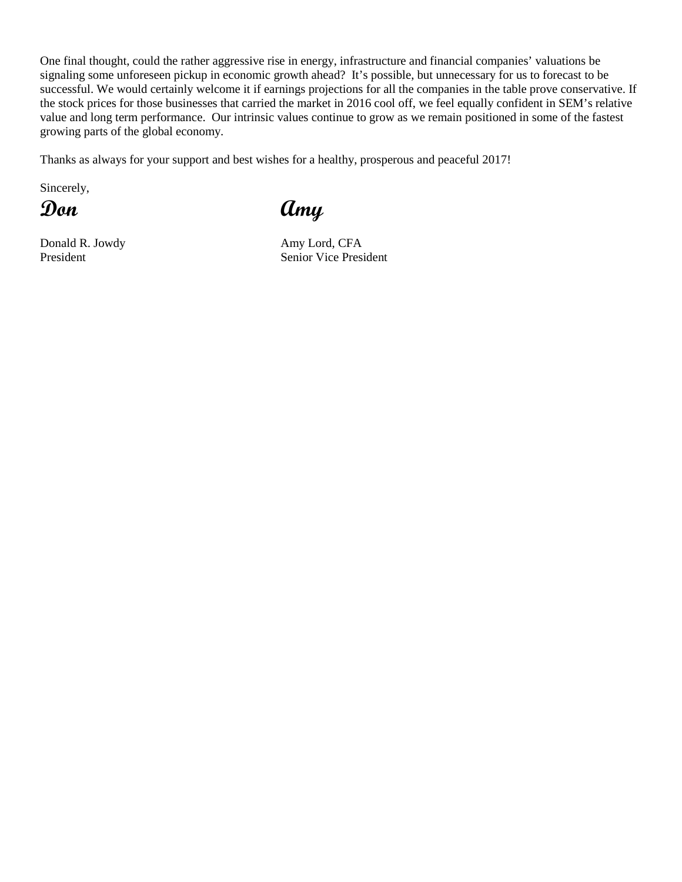One final thought, could the rather aggressive rise in energy, infrastructure and financial companies' valuations be signaling some unforeseen pickup in economic growth ahead? It's possible, but unnecessary for us to forecast to be successful. We would certainly welcome it if earnings projections for all the companies in the table prove conservative. If the stock prices for those businesses that carried the market in 2016 cool off, we feel equally confident in SEM's relative value and long term performance. Our intrinsic values continue to grow as we remain positioned in some of the fastest growing parts of the global economy.

Thanks as always for your support and best wishes for a healthy, prosperous and peaceful 2017!

Sincerely,

Donald R. Jowdy Amy Lord, CFA

**Don Amy**

President Senior Vice President